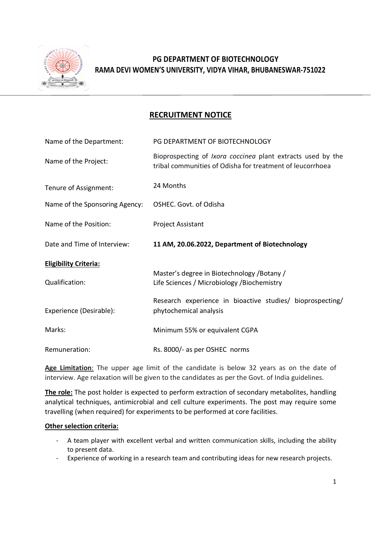

# RAMA DEVI WOMEN'S UNIVERSITY, VIDYA VIHAR, BHUBANESWAR-751022 PG DEPARTMENT OF BIOTECHNOLOGY

### RECRUITMENT NOTICE

| Name of the Department:        | PG DEPARTMENT OF BIOTECHNOLOGY                                                                                                  |
|--------------------------------|---------------------------------------------------------------------------------------------------------------------------------|
| Name of the Project:           | Bioprospecting of <i>Ixora coccinea</i> plant extracts used by the<br>tribal communities of Odisha for treatment of leucorrhoea |
| Tenure of Assignment:          | 24 Months                                                                                                                       |
| Name of the Sponsoring Agency: | OSHEC. Govt. of Odisha                                                                                                          |
| Name of the Position:          | Project Assistant                                                                                                               |
| Date and Time of Interview:    | 11 AM, 20.06.2022, Department of Biotechnology                                                                                  |
| <b>Eligibility Criteria:</b>   |                                                                                                                                 |
| Qualification:                 | Master's degree in Biotechnology / Botany /<br>Life Sciences / Microbiology / Biochemistry                                      |
| Experience (Desirable):        | Research experience in bioactive studies/ bioprospecting/<br>phytochemical analysis                                             |
| Marks:                         | Minimum 55% or equivalent CGPA                                                                                                  |
|                                |                                                                                                                                 |

Age Limitation: The upper age limit of the candidate is below 32 years as on the date of interview. Age relaxation will be given to the candidates as per the Govt. of India guidelines. interview. Age relaxation will be given to the candidates as per the Govt. of India guidelines.

The role: The post holder is expected to perform extraction of secondary metabolites, handling analytical techniques, antimicrobial and cell culture experiments. The post may require some travelling (when required) for experiments to be performed at core facilities. travelling (when required) for experiments to be performed at core facilities. of the candidate is below 32 years as on the date<br>to the candidates as per the Govt. of India guidelines.<br>to perform extraction of secondary metabolites, handli<br>nd cell culture experiments. The post may require son<br>ents to analytical techniques, antimicrobial and cell culture experiments. The post may require some

#### Other selection criteria:

- A team player with excellent verbal and written communication skills, including the ability to present data.
- Experience of working in a research team and contributing ideas for new research projects.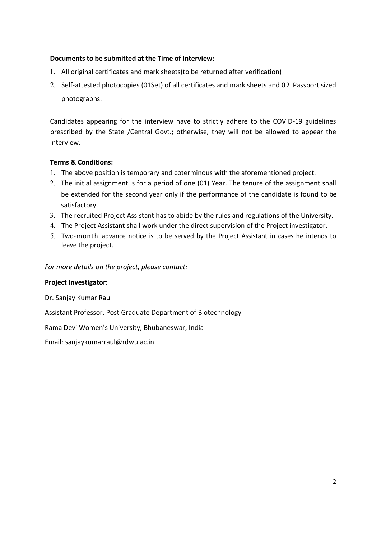### Documents to be submitted at the Time of Interview:

- 1. All original certificates and mark sheets(to be returned after verification)
- 2. Self-attested photocopies (01Set) of all certificates and mark sheets and 02 Passport sized photographs.

Candidates appearing for the interview have to strictly adhere to the COVID-19 guidelines prescribed by the State /Central Govt.; otherwise, they will not be allowed to appear the interview.

### Terms & Conditions:

- 1. The above position is temporary and coterminous with the aforementioned project.
- 2. The initial assignment is for a period of one (01) Year. The tenure of the assignment shall be extended for the second year only if the performance of the candidate is found to be satisfactory.
- 3. The recruited Project Assistant has to abide by the rules and regulations of the University.
- 4. The Project Assistant shall work under the direct supervision of the Project investigator.
- 5. Two-month advance notice is to be served by the Project Assistant in cases he intends to leave the project.

For more details on the project, please contact:

### Project Investigator:

Dr. Sanjay Kumar Raul

Assistant Professor, Post Graduate Department of Biotechnology

Rama Devi Women's University, Bhubaneswar, India

Email: sanjaykumarraul@rdwu.ac.in